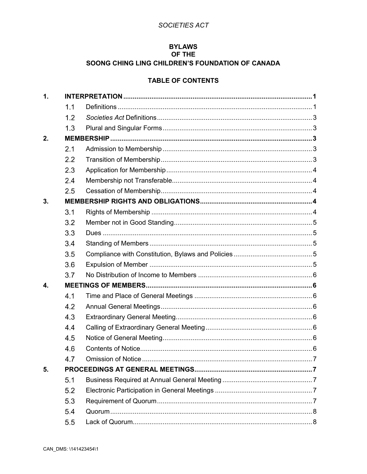# SOCIETIES ACT

## **BYLAWS** OF THE

# SOONG CHING LING CHILDREN'S FOUNDATION OF CANADA

# **TABLE OF CONTENTS**

| $\mathbf{1}$ . |     |  |  |  |  |
|----------------|-----|--|--|--|--|
|                | 1.1 |  |  |  |  |
|                | 1.2 |  |  |  |  |
|                | 1.3 |  |  |  |  |
| 2.             |     |  |  |  |  |
|                | 2.1 |  |  |  |  |
|                | 2.2 |  |  |  |  |
|                | 2.3 |  |  |  |  |
|                | 2.4 |  |  |  |  |
|                | 2.5 |  |  |  |  |
| 3.             |     |  |  |  |  |
|                | 3.1 |  |  |  |  |
|                | 3.2 |  |  |  |  |
|                | 3.3 |  |  |  |  |
|                | 3.4 |  |  |  |  |
|                | 3.5 |  |  |  |  |
|                | 3.6 |  |  |  |  |
|                | 3.7 |  |  |  |  |
| 4.             |     |  |  |  |  |
|                | 4.1 |  |  |  |  |
|                | 4.2 |  |  |  |  |
|                | 4.3 |  |  |  |  |
|                | 4.4 |  |  |  |  |
|                | 4.5 |  |  |  |  |
|                | 4.6 |  |  |  |  |
|                | 47  |  |  |  |  |
| 5.             |     |  |  |  |  |
|                | 5.1 |  |  |  |  |
|                | 5.2 |  |  |  |  |
|                | 5.3 |  |  |  |  |
|                | 5.4 |  |  |  |  |
|                | 5.5 |  |  |  |  |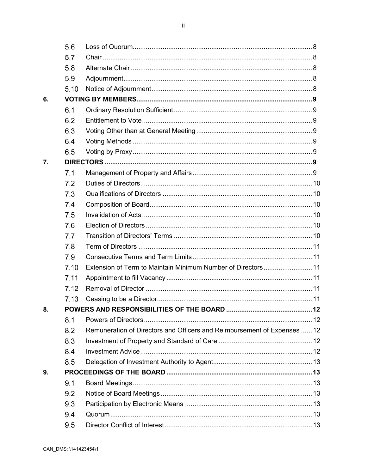$\ddot{\rm H}$ 

|    | 5.6  |                                                                          |  |
|----|------|--------------------------------------------------------------------------|--|
|    | 5.7  |                                                                          |  |
|    | 5.8  |                                                                          |  |
|    | 5.9  |                                                                          |  |
|    | 5.10 |                                                                          |  |
| 6. |      |                                                                          |  |
|    | 6.1  |                                                                          |  |
|    | 6.2  |                                                                          |  |
|    | 6.3  |                                                                          |  |
|    | 6.4  |                                                                          |  |
|    | 6.5  |                                                                          |  |
| 7. |      |                                                                          |  |
|    | 7.1  |                                                                          |  |
|    | 7.2  |                                                                          |  |
|    | 7.3  |                                                                          |  |
|    | 7.4  |                                                                          |  |
|    | 7.5  |                                                                          |  |
|    | 7.6  |                                                                          |  |
|    | 7.7  |                                                                          |  |
|    | 7.8  |                                                                          |  |
|    | 7.9  |                                                                          |  |
|    | 7.10 |                                                                          |  |
|    | 7.11 |                                                                          |  |
|    | 7.12 |                                                                          |  |
|    | 7.13 |                                                                          |  |
| 8. |      |                                                                          |  |
|    | 8.1  |                                                                          |  |
|    | 8.2  | Remuneration of Directors and Officers and Reimbursement of Expenses  12 |  |
|    | 8.3  |                                                                          |  |
|    | 8.4  |                                                                          |  |
|    | 8.5  |                                                                          |  |
| 9. |      |                                                                          |  |
|    | 9.1  |                                                                          |  |
|    | 9.2  |                                                                          |  |
|    | 9.3  |                                                                          |  |
|    | 9.4  |                                                                          |  |
|    | 9.5  |                                                                          |  |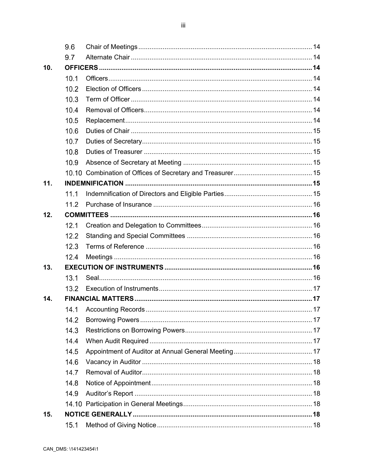9.6 9.7  $10.$  $10.1$  $10.2$  $10.3$  $10.4$  $10.5$  $10.6$  $10.7$  $10.8$ 10.9  $11.$  $11.1$  $112$  $12.$  $12.1$  $12.2$  $12.3$  $12.4$  $13.$  $S$ eal $\overline{\phantom{a}}$  16  $13.1$  $13.2$  $14.$  $14.1$  $14.2$  $14.3$ 14.4  $14.5$ 14.6  $14.7$  $14.8$ 14.9  $15.$  $15.1$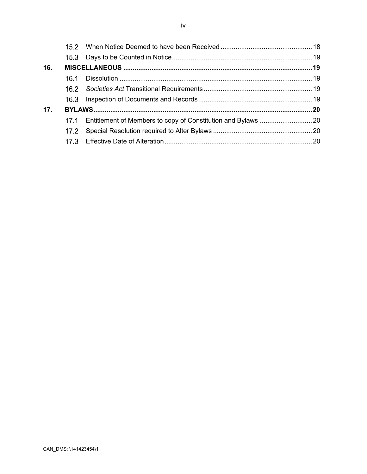| 16.             |      |  |
|-----------------|------|--|
|                 | 16.1 |  |
|                 |      |  |
|                 |      |  |
| 17 <sub>1</sub> |      |  |
|                 |      |  |
|                 | 17.2 |  |
|                 | 17.3 |  |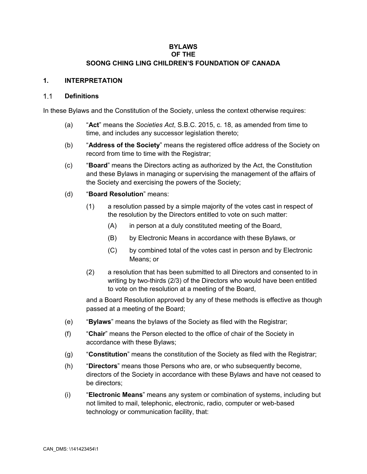## **BYLAWS OF THE SOONG CHING LING CHILDREN'S FOUNDATION OF CANADA**

## **1. INTERPRETATION**

#### $1.1$ **Definitions**

In these Bylaws and the Constitution of the Society, unless the context otherwise requires:

- (a) "**Act**" means the *Societies Act*, S.B.C. 2015, c. 18, as amended from time to time, and includes any successor legislation thereto;
- (b) "**Address of the Society**" means the registered office address of the Society on record from time to time with the Registrar;
- (c) "**Board**" means the Directors acting as authorized by the Act, the Constitution and these Bylaws in managing or supervising the management of the affairs of the Society and exercising the powers of the Society;
- (d) "**Board Resolution**" means:
	- (1) a resolution passed by a simple majority of the votes cast in respect of the resolution by the Directors entitled to vote on such matter:
		- (A) in person at a duly constituted meeting of the Board,
		- (B) by Electronic Means in accordance with these Bylaws, or
		- (C) by combined total of the votes cast in person and by Electronic Means; or
	- (2) a resolution that has been submitted to all Directors and consented to in writing by two-thirds (2/3) of the Directors who would have been entitled to vote on the resolution at a meeting of the Board,

and a Board Resolution approved by any of these methods is effective as though passed at a meeting of the Board;

- (e) "**Bylaws**" means the bylaws of the Society as filed with the Registrar;
- (f) "**Chair**" means the Person elected to the office of chair of the Society in accordance with these Bylaws;
- (g) "**Constitution**" means the constitution of the Society as filed with the Registrar;
- (h) "**Directors**" means those Persons who are, or who subsequently become, directors of the Society in accordance with these Bylaws and have not ceased to be directors;
- (i) "**Electronic Means**" means any system or combination of systems, including but not limited to mail, telephonic, electronic, radio, computer or web-based technology or communication facility, that: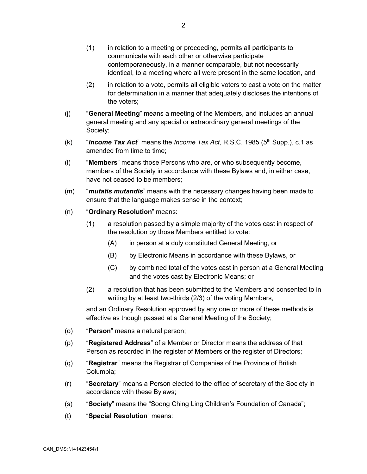- (1) in relation to a meeting or proceeding, permits all participants to communicate with each other or otherwise participate contemporaneously, in a manner comparable, but not necessarily identical, to a meeting where all were present in the same location, and
- (2) in relation to a vote, permits all eligible voters to cast a vote on the matter for determination in a manner that adequately discloses the intentions of the voters;
- (j) "**General Meeting**" means a meeting of the Members, and includes an annual general meeting and any special or extraordinary general meetings of the Society;
- (k)  $\blacksquare$  *Income Tax Act*" means the *Income Tax Act*, R.S.C. 1985 (5<sup>th</sup> Supp.), c.1 as amended from time to time;
- (l) "**Members**" means those Persons who are, or who subsequently become, members of the Society in accordance with these Bylaws and, in either case, have not ceased to be members;
- (m) "*mutatis mutandis*" means with the necessary changes having been made to ensure that the language makes sense in the context;
- (n) "**Ordinary Resolution**" means:
	- (1) a resolution passed by a simple majority of the votes cast in respect of the resolution by those Members entitled to vote:
		- (A) in person at a duly constituted General Meeting, or
		- (B) by Electronic Means in accordance with these Bylaws, or
		- (C) by combined total of the votes cast in person at a General Meeting and the votes cast by Electronic Means; or
	- (2) a resolution that has been submitted to the Members and consented to in writing by at least two-thirds (2/3) of the voting Members,

and an Ordinary Resolution approved by any one or more of these methods is effective as though passed at a General Meeting of the Society;

- (o) "**Person**" means a natural person;
- (p) "**Registered Address**" of a Member or Director means the address of that Person as recorded in the register of Members or the register of Directors;
- (q) "**Registrar**" means the Registrar of Companies of the Province of British Columbia;
- (r) "**Secretary**" means a Person elected to the office of secretary of the Society in accordance with these Bylaws;
- (s) "**Society**" means the "Soong Ching Ling Children's Foundation of Canada";
- (t) "**Special Resolution**" means: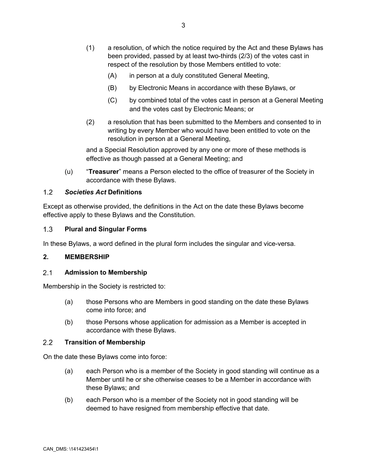- (1) a resolution, of which the notice required by the Act and these Bylaws has been provided, passed by at least two-thirds (2/3) of the votes cast in respect of the resolution by those Members entitled to vote:
	- (A) in person at a duly constituted General Meeting,
	- (B) by Electronic Means in accordance with these Bylaws, or
	- (C) by combined total of the votes cast in person at a General Meeting and the votes cast by Electronic Means; or
- (2) a resolution that has been submitted to the Members and consented to in writing by every Member who would have been entitled to vote on the resolution in person at a General Meeting,

and a Special Resolution approved by any one or more of these methods is effective as though passed at a General Meeting; and

(u) "**Treasurer**" means a Person elected to the office of treasurer of the Society in accordance with these Bylaws.

## $12$ *Societies Act* **Definitions**

Except as otherwise provided, the definitions in the Act on the date these Bylaws become effective apply to these Bylaws and the Constitution.

## $1.3$ **Plural and Singular Forms**

In these Bylaws, a word defined in the plural form includes the singular and vice-versa.

## **2. MEMBERSHIP**

#### $2.1$ **Admission to Membership**

Membership in the Society is restricted to:

- (a) those Persons who are Members in good standing on the date these Bylaws come into force; and
- (b) those Persons whose application for admission as a Member is accepted in accordance with these Bylaws.

#### $2.2$ **Transition of Membership**

On the date these Bylaws come into force:

- (a) each Person who is a member of the Society in good standing will continue as a Member until he or she otherwise ceases to be a Member in accordance with these Bylaws; and
- (b) each Person who is a member of the Society not in good standing will be deemed to have resigned from membership effective that date.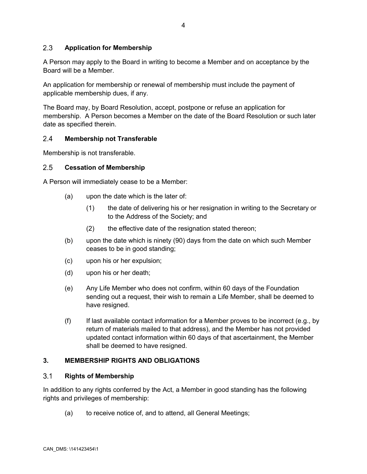## $2.3$ **Application for Membership**

A Person may apply to the Board in writing to become a Member and on acceptance by the Board will be a Member.

An application for membership or renewal of membership must include the payment of applicable membership dues, if any.

The Board may, by Board Resolution, accept, postpone or refuse an application for membership. A Person becomes a Member on the date of the Board Resolution or such later date as specified therein.

#### $2.4$ **Membership not Transferable**

Membership is not transferable.

#### $2.5$ **Cessation of Membership**

A Person will immediately cease to be a Member:

- (a) upon the date which is the later of:
	- (1) the date of delivering his or her resignation in writing to the Secretary or to the Address of the Society; and
	- (2) the effective date of the resignation stated thereon;
- (b) upon the date which is ninety (90) days from the date on which such Member ceases to be in good standing;
- (c) upon his or her expulsion;
- (d) upon his or her death;
- (e) Any Life Member who does not confirm, within 60 days of the Foundation sending out a request, their wish to remain a Life Member, shall be deemed to have resigned.
- (f) If last available contact information for a Member proves to be incorrect (e.g., by return of materials mailed to that address), and the Member has not provided updated contact information within 60 days of that ascertainment, the Member shall be deemed to have resigned.

## **3. MEMBERSHIP RIGHTS AND OBLIGATIONS**

#### <span id="page-7-0"></span> $3.1$ **Rights of Membership**

In addition to any rights conferred by the Act, a Member in good standing has the following rights and privileges of membership:

(a) to receive notice of, and to attend, all General Meetings;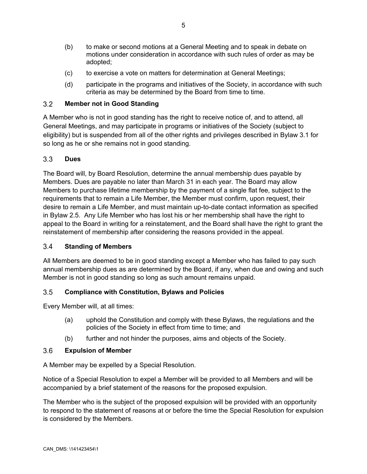- (b) to make or second motions at a General Meeting and to speak in debate on motions under consideration in accordance with such rules of order as may be adopted;
- (c) to exercise a vote on matters for determination at General Meetings;
- (d) participate in the programs and initiatives of the Society, in accordance with such criteria as may be determined by the Board from time to time.

## $3.2$ **Member not in Good Standing**

A Member who is not in good standing has the right to receive notice of, and to attend, all General Meetings, and may participate in programs or initiatives of the Society (subject to eligibility) but is suspended from all of the other rights and privileges described in Bylaw [3.1](#page-7-0) for so long as he or she remains not in good standing.

## $3.3$ **Dues**

The Board will, by Board Resolution, determine the annual membership dues payable by Members. Dues are payable no later than March 31 in each year. The Board may allow Members to purchase lifetime membership by the payment of a single flat fee, subject to the requirements that to remain a Life Member, the Member must confirm, upon request, their desire to remain a Life Member, and must maintain up-to-date contact information as specified in Bylaw 2.5. Any Life Member who has lost his or her membership shall have the right to appeal to the Board in writing for a reinstatement, and the Board shall have the right to grant the reinstatement of membership after considering the reasons provided in the appeal.

## $3.4$ **Standing of Members**

All Members are deemed to be in good standing except a Member who has failed to pay such annual membership dues as are determined by the Board, if any, when due and owing and such Member is not in good standing so long as such amount remains unpaid.

## $3.5$ **Compliance with Constitution, Bylaws and Policies**

Every Member will, at all times:

- (a) uphold the Constitution and comply with these Bylaws, the regulations and the policies of the Society in effect from time to time; and
- (b) further and not hinder the purposes, aims and objects of the Society.

## $3.6$ **Expulsion of Member**

A Member may be expelled by a Special Resolution.

Notice of a Special Resolution to expel a Member will be provided to all Members and will be accompanied by a brief statement of the reasons for the proposed expulsion.

The Member who is the subject of the proposed expulsion will be provided with an opportunity to respond to the statement of reasons at or before the time the Special Resolution for expulsion is considered by the Members.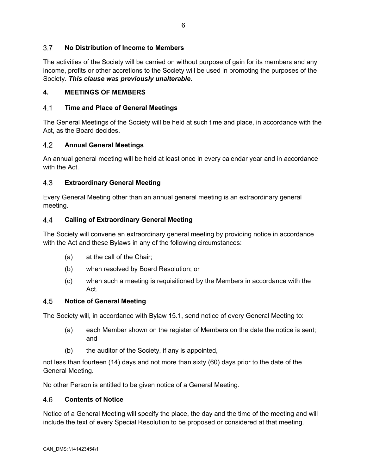## $3.7$ **No Distribution of Income to Members**

The activities of the Society will be carried on without purpose of gain for its members and any income, profits or other accretions to the Society will be used in promoting the purposes of the Society. *This clause was previously unalterable*.

## **4. MEETINGS OF MEMBERS**

#### $4.1$ **Time and Place of General Meetings**

The General Meetings of the Society will be held at such time and place, in accordance with the Act, as the Board decides.

## 4.2 **Annual General Meetings**

An annual general meeting will be held at least once in every calendar year and in accordance with the Act.

## 4.3 **Extraordinary General Meeting**

Every General Meeting other than an annual general meeting is an extraordinary general meeting.

#### 44 **Calling of Extraordinary General Meeting**

The Society will convene an extraordinary general meeting by providing notice in accordance with the Act and these Bylaws in any of the following circumstances:

- (a) at the call of the Chair;
- (b) when resolved by Board Resolution; or
- (c) when such a meeting is requisitioned by the Members in accordance with the Act*.*

## 4.5 **Notice of General Meeting**

The Society will, in accordance with Bylaw [15.1](#page-21-0), send notice of every General Meeting to:

- (a) each Member shown on the register of Members on the date the notice is sent; and
- (b) the auditor of the Society, if any is appointed,

not less than fourteen (14) days and not more than sixty (60) days prior to the date of the General Meeting.

No other Person is entitled to be given notice of a General Meeting.

#### $4.6$ **Contents of Notice**

Notice of a General Meeting will specify the place, the day and the time of the meeting and will include the text of every Special Resolution to be proposed or considered at that meeting.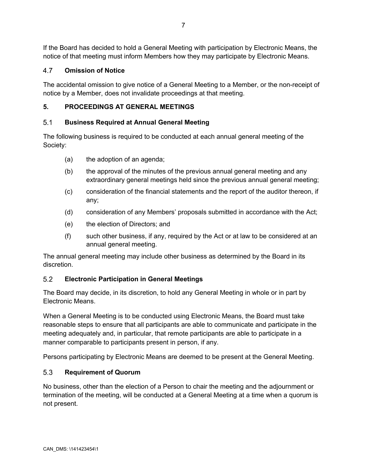If the Board has decided to hold a General Meeting with participation by Electronic Means, the notice of that meeting must inform Members how they may participate by Electronic Means.

## 4.7 **Omission of Notice**

The accidental omission to give notice of a General Meeting to a Member, or the non-receipt of notice by a Member, does not invalidate proceedings at that meeting.

## **5. PROCEEDINGS AT GENERAL MEETINGS**

## $5.1$ **Business Required at Annual General Meeting**

The following business is required to be conducted at each annual general meeting of the Society:

- (a) the adoption of an agenda;
- (b) the approval of the minutes of the previous annual general meeting and any extraordinary general meetings held since the previous annual general meeting;
- (c) consideration of the financial statements and the report of the auditor thereon, if any;
- (d) consideration of any Members' proposals submitted in accordance with the Act;
- (e) the election of Directors; and
- (f) such other business, if any, required by the Act or at law to be considered at an annual general meeting.

The annual general meeting may include other business as determined by the Board in its discretion.

## $5.2$ **Electronic Participation in General Meetings**

The Board may decide, in its discretion, to hold any General Meeting in whole or in part by Electronic Means.

When a General Meeting is to be conducted using Electronic Means, the Board must take reasonable steps to ensure that all participants are able to communicate and participate in the meeting adequately and, in particular, that remote participants are able to participate in a manner comparable to participants present in person, if any.

Persons participating by Electronic Means are deemed to be present at the General Meeting.

## 5.3 **Requirement of Quorum**

No business, other than the election of a Person to chair the meeting and the adjournment or termination of the meeting, will be conducted at a General Meeting at a time when a quorum is not present.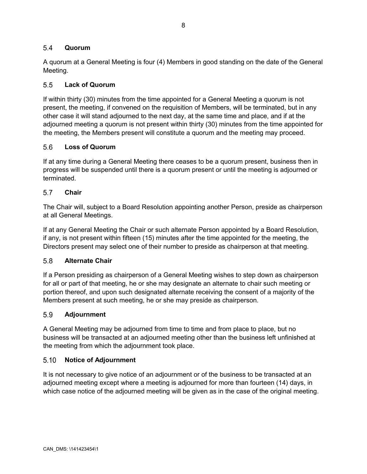## $5.4$ **Quorum**

A quorum at a General Meeting is four (4) Members in good standing on the date of the General Meeting.

## $5.5$ **Lack of Quorum**

If within thirty (30) minutes from the time appointed for a General Meeting a quorum is not present, the meeting, if convened on the requisition of Members, will be terminated, but in any other case it will stand adjourned to the next day, at the same time and place, and if at the adjourned meeting a quorum is not present within thirty (30) minutes from the time appointed for the meeting, the Members present will constitute a quorum and the meeting may proceed.

## $5.6$ **Loss of Quorum**

If at any time during a General Meeting there ceases to be a quorum present, business then in progress will be suspended until there is a quorum present or until the meeting is adjourned or terminated.

#### $5.7$ **Chair**

The Chair will, subject to a Board Resolution appointing another Person, preside as chairperson at all General Meetings.

If at any General Meeting the Chair or such alternate Person appointed by a Board Resolution, if any, is not present within fifteen (15) minutes after the time appointed for the meeting, the Directors present may select one of their number to preside as chairperson at that meeting.

#### 5.8 **Alternate Chair**

If a Person presiding as chairperson of a General Meeting wishes to step down as chairperson for all or part of that meeting, he or she may designate an alternate to chair such meeting or portion thereof, and upon such designated alternate receiving the consent of a majority of the Members present at such meeting, he or she may preside as chairperson.

#### 5.9 **Adjournment**

A General Meeting may be adjourned from time to time and from place to place, but no business will be transacted at an adjourned meeting other than the business left unfinished at the meeting from which the adjournment took place.

#### $5.10$ **Notice of Adjournment**

It is not necessary to give notice of an adjournment or of the business to be transacted at an adjourned meeting except where a meeting is adjourned for more than fourteen (14) days, in which case notice of the adjourned meeting will be given as in the case of the original meeting.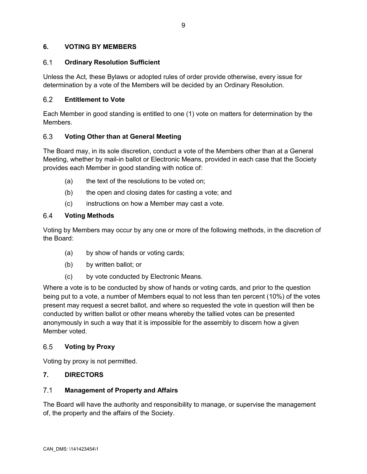## **6. VOTING BY MEMBERS**

## $6.1$ **Ordinary Resolution Sufficient**

Unless the Act*,* these Bylaws or adopted rules of order provide otherwise, every issue for determination by a vote of the Members will be decided by an Ordinary Resolution.

## $6.2$ **Entitlement to Vote**

Each Member in good standing is entitled to one (1) vote on matters for determination by the Members.

## 6.3 **Voting Other than at General Meeting**

The Board may, in its sole discretion, conduct a vote of the Members other than at a General Meeting, whether by mail-in ballot or Electronic Means, provided in each case that the Society provides each Member in good standing with notice of:

- (a) the text of the resolutions to be voted on;
- (b) the open and closing dates for casting a vote; and
- (c) instructions on how a Member may cast a vote.

## $6.4$ **Voting Methods**

Voting by Members may occur by any one or more of the following methods, in the discretion of the Board:

- (a) by show of hands or voting cards;
- (b) by written ballot; or
- (c) by vote conducted by Electronic Means.

Where a vote is to be conducted by show of hands or voting cards, and prior to the question being put to a vote, a number of Members equal to not less than ten percent (10%) of the votes present may request a secret ballot, and where so requested the vote in question will then be conducted by written ballot or other means whereby the tallied votes can be presented anonymously in such a way that it is impossible for the assembly to discern how a given Member voted.

## 6.5 **Voting by Proxy**

Voting by proxy is not permitted.

## **7. DIRECTORS**

## $7.1$ **Management of Property and Affairs**

The Board will have the authority and responsibility to manage, or supervise the management of, the property and the affairs of the Society.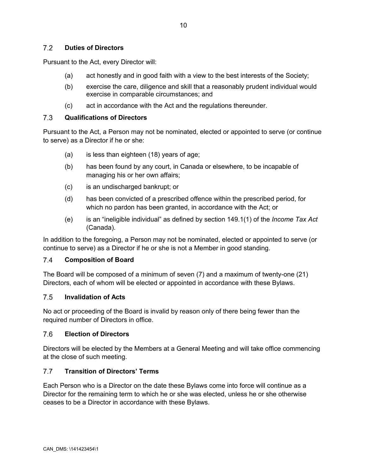## $7.2$ **Duties of Directors**

Pursuant to the Act, every Director will:

- (a) act honestly and in good faith with a view to the best interests of the Society;
- (b) exercise the care, diligence and skill that a reasonably prudent individual would exercise in comparable circumstances; and
- <span id="page-13-0"></span>(c) act in accordance with the Act and the regulations thereunder.

#### $7.3$ **Qualifications of Directors**

Pursuant to the Act, a Person may not be nominated, elected or appointed to serve (or continue to serve) as a Director if he or she:

- (a) is less than eighteen (18) years of age;
- (b) has been found by any court, in Canada or elsewhere, to be incapable of managing his or her own affairs;
- (c) is an undischarged bankrupt; or
- (d) has been convicted of a prescribed offence within the prescribed period, for which no pardon has been granted, in accordance with the Act; or
- (e) is an "ineligible individual" as defined by section 149.1(1) of the *Income Tax Act* (Canada).

In addition to the foregoing, a Person may not be nominated, elected or appointed to serve (or continue to serve) as a Director if he or she is not a Member in good standing.

#### $7.4$ **Composition of Board**

The Board will be composed of a minimum of seven (7) and a maximum of twenty-one (21) Directors, each of whom will be elected or appointed in accordance with these Bylaws.

## $7.5$ **Invalidation of Acts**

No act or proceeding of the Board is invalid by reason only of there being fewer than the required number of Directors in office.

#### $7.6$ **Election of Directors**

Directors will be elected by the Members at a General Meeting and will take office commencing at the close of such meeting.

#### **Transition of Directors' Terms**  $7.7$

Each Person who is a Director on the date these Bylaws come into force will continue as a Director for the remaining term to which he or she was elected, unless he or she otherwise ceases to be a Director in accordance with these Bylaws.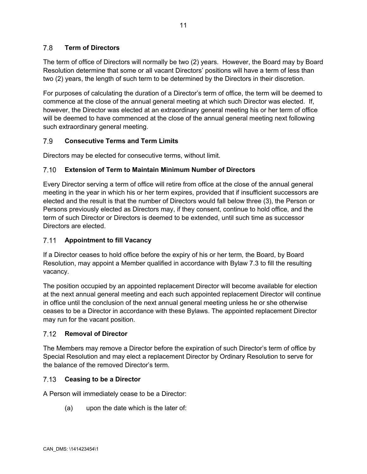## 7.8 **Term of Directors**

The term of office of Directors will normally be two (2) years. However, the Board may by Board Resolution determine that some or all vacant Directors' positions will have a term of less than two (2) years, the length of such term to be determined by the Directors in their discretion.

For purposes of calculating the duration of a Director's term of office, the term will be deemed to commence at the close of the annual general meeting at which such Director was elected. If, however, the Director was elected at an extraordinary general meeting his or her term of office will be deemed to have commenced at the close of the annual general meeting next following such extraordinary general meeting.

## 7.9 **Consecutive Terms and Term Limits**

Directors may be elected for consecutive terms, without limit.

## **Extension of Term to Maintain Minimum Number of Directors**  $7.10$

Every Director serving a term of office will retire from office at the close of the annual general meeting in the year in which his or her term expires, provided that if insufficient successors are elected and the result is that the number of Directors would fall below three (3), the Person or Persons previously elected as Directors may, if they consent, continue to hold office, and the term of such Director or Directors is deemed to be extended, until such time as successor Directors are elected.

## $7.11$ **Appointment to fill Vacancy**

If a Director ceases to hold office before the expiry of his or her term, the Board, by Board Resolution, may appoint a Member qualified in accordance with Bylaw [7.3](#page-13-0) to fill the resulting vacancy.

The position occupied by an appointed replacement Director will become available for election at the next annual general meeting and each such appointed replacement Director will continue in office until the conclusion of the next annual general meeting unless he or she otherwise ceases to be a Director in accordance with these Bylaws. The appointed replacement Director may run for the vacant position.

## $7.12$ **Removal of Director**

The Members may remove a Director before the expiration of such Director's term of office by Special Resolution and may elect a replacement Director by Ordinary Resolution to serve for the balance of the removed Director's term.

## $7.13$ **Ceasing to be a Director**

A Person will immediately cease to be a Director:

(a) upon the date which is the later of: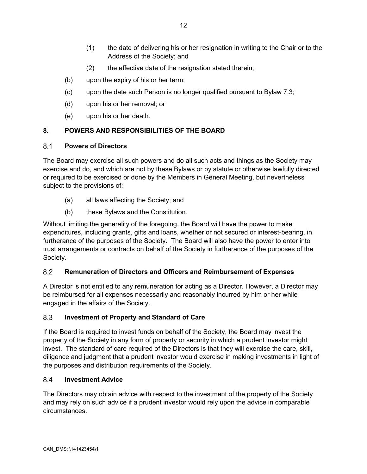- (1) the date of delivering his or her resignation in writing to the Chair or to the Address of the Society; and
- (2) the effective date of the resignation stated therein;
- (b) upon the expiry of his or her term;
- (c) upon the date such Person is no longer qualified pursuant t[o Bylaw](#page-13-0) 7.3;
- (d) upon his or her removal; or
- (e) upon his or her death.

## **8. POWERS AND RESPONSIBILITIES OF THE BOARD**

#### $8.1$ **Powers of Directors**

The Board may exercise all such powers and do all such acts and things as the Society may exercise and do, and which are not by these Bylaws or by statute or otherwise lawfully directed or required to be exercised or done by the Members in General Meeting, but nevertheless subject to the provisions of:

- (a) all laws affecting the Society; and
- (b) these Bylaws and the Constitution.

Without limiting the generality of the foregoing, the Board will have the power to make expenditures, including grants, gifts and loans, whether or not secured or interest-bearing, in furtherance of the purposes of the Society. The Board will also have the power to enter into trust arrangements or contracts on behalf of the Society in furtherance of the purposes of the Society.

## 8.2 **Remuneration of Directors and Officers and Reimbursement of Expenses**

A Director is not entitled to any remuneration for acting as a Director. However, a Director may be reimbursed for all expenses necessarily and reasonably incurred by him or her while engaged in the affairs of the Society.

## 8.3 **Investment of Property and Standard of Care**

If the Board is required to invest funds on behalf of the Society, the Board may invest the property of the Society in any form of property or security in which a prudent investor might invest. The standard of care required of the Directors is that they will exercise the care, skill, diligence and judgment that a prudent investor would exercise in making investments in light of the purposes and distribution requirements of the Society.

#### 8.4 **Investment Advice**

The Directors may obtain advice with respect to the investment of the property of the Society and may rely on such advice if a prudent investor would rely upon the advice in comparable circumstances.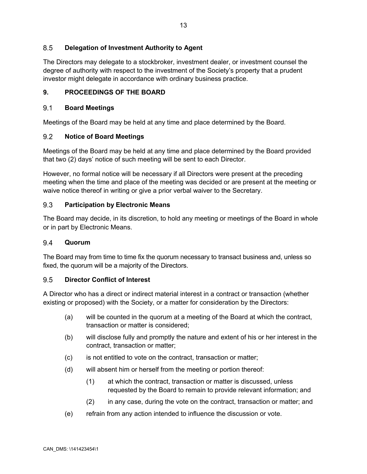## 8.5 **Delegation of Investment Authority to Agent**

The Directors may delegate to a stockbroker, investment dealer, or investment counsel the degree of authority with respect to the investment of the Society's property that a prudent investor might delegate in accordance with ordinary business practice.

## **9. PROCEEDINGS OF THE BOARD**

### $9.1$ **Board Meetings**

Meetings of the Board may be held at any time and place determined by the Board.

#### $9.2$ **Notice of Board Meetings**

Meetings of the Board may be held at any time and place determined by the Board provided that two (2) days' notice of such meeting will be sent to each Director.

However, no formal notice will be necessary if all Directors were present at the preceding meeting when the time and place of the meeting was decided or are present at the meeting or waive notice thereof in writing or give a prior verbal waiver to the Secretary.

## 9.3 **Participation by Electronic Means**

The Board may decide, in its discretion, to hold any meeting or meetings of the Board in whole or in part by Electronic Means.

#### 9.4 **Quorum**

The Board may from time to time fix the quorum necessary to transact business and, unless so fixed, the quorum will be a majority of the Directors.

## **Director Conflict of Interest** 9.5

A Director who has a direct or indirect material interest in a contract or transaction (whether existing or proposed) with the Society, or a matter for consideration by the Directors:

- (a) will be counted in the quorum at a meeting of the Board at which the contract, transaction or matter is considered;
- (b) will disclose fully and promptly the nature and extent of his or her interest in the contract, transaction or matter;
- (c) is not entitled to vote on the contract, transaction or matter;
- (d) will absent him or herself from the meeting or portion thereof:
	- (1) at which the contract, transaction or matter is discussed, unless requested by the Board to remain to provide relevant information; and
	- (2) in any case, during the vote on the contract, transaction or matter; and
- (e) refrain from any action intended to influence the discussion or vote.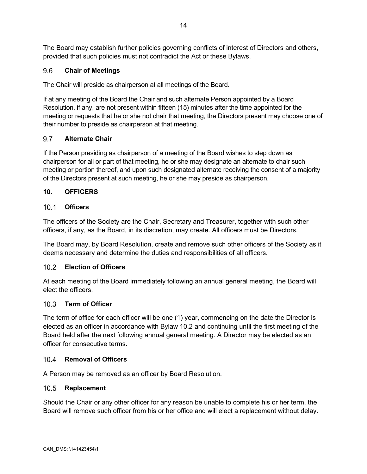The Board may establish further policies governing conflicts of interest of Directors and others, provided that such policies must not contradict the Act or these Bylaws.

## $9.6$ **Chair of Meetings**

The Chair will preside as chairperson at all meetings of the Board.

If at any meeting of the Board the Chair and such alternate Person appointed by a Board Resolution, if any, are not present within fifteen (15) minutes after the time appointed for the meeting or requests that he or she not chair that meeting, the Directors present may choose one of their number to preside as chairperson at that meeting.

## 9.7 **Alternate Chair**

If the Person presiding as chairperson of a meeting of the Board wishes to step down as chairperson for all or part of that meeting, he or she may designate an alternate to chair such meeting or portion thereof, and upon such designated alternate receiving the consent of a majority of the Directors present at such meeting, he or she may preside as chairperson.

## **10. OFFICERS**

## **Officers**

The officers of the Society are the Chair, Secretary and Treasurer, together with such other officers, if any, as the Board, in its discretion, may create. All officers must be Directors.

The Board may, by Board Resolution, create and remove such other officers of the Society as it deems necessary and determine the duties and responsibilities of all officers.

## <span id="page-17-0"></span>**Election of Officers**

At each meeting of the Board immediately following an annual general meeting, the Board will elect the officers.

## **Term of Officer**  $10.3$

The term of office for each officer will be one (1) year, commencing on the date the Director is elected as an officer in accordance with Bylaw [10.2](#page-17-0) and continuing until the first meeting of the Board held after the next following annual general meeting. A Director may be elected as an officer for consecutive terms.

## 10.4 Removal of Officers

A Person may be removed as an officer by Board Resolution.

## $10.5$ **Replacement**

Should the Chair or any other officer for any reason be unable to complete his or her term, the Board will remove such officer from his or her office and will elect a replacement without delay.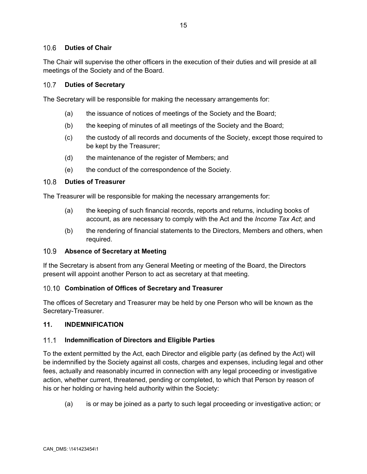## $106$ **Duties of Chair**

The Chair will supervise the other officers in the execution of their duties and will preside at all meetings of the Society and of the Board.

#### $10.7$ **Duties of Secretary**

The Secretary will be responsible for making the necessary arrangements for:

- (a) the issuance of notices of meetings of the Society and the Board;
- (b) the keeping of minutes of all meetings of the Society and the Board;
- (c) the custody of all records and documents of the Society, except those required to be kept by the Treasurer;
- (d) the maintenance of the register of Members; and
- (e) the conduct of the correspondence of the Society.

#### $10.8$ **Duties of Treasurer**

The Treasurer will be responsible for making the necessary arrangements for:

- (a) the keeping of such financial records, reports and returns, including books of account, as are necessary to comply with the Act and the *Income Tax Act*; and
- (b) the rendering of financial statements to the Directors, Members and others, when required.

#### $10.9$ **Absence of Secretary at Meeting**

If the Secretary is absent from any General Meeting or meeting of the Board, the Directors present will appoint another Person to act as secretary at that meeting.

## **Combination of Offices of Secretary and Treasurer**

The offices of Secretary and Treasurer may be held by one Person who will be known as the Secretary-Treasurer.

## **11. INDEMNIFICATION**

## $11.1$ **Indemnification of Directors and Eligible Parties**

To the extent permitted by the Act, each Director and eligible party (as defined by the Act) will be indemnified by the Society against all costs, charges and expenses, including legal and other fees, actually and reasonably incurred in connection with any legal proceeding or investigative action, whether current, threatened, pending or completed, to which that Person by reason of his or her holding or having held authority within the Society:

(a) is or may be joined as a party to such legal proceeding or investigative action; or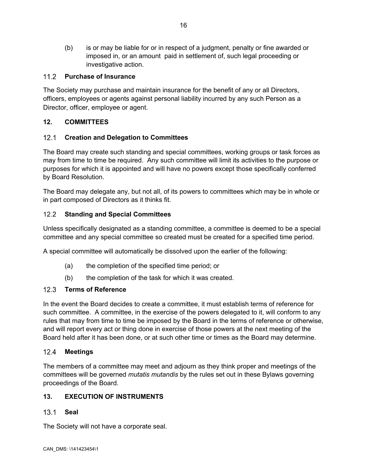(b) is or may be liable for or in respect of a judgment, penalty or fine awarded or imposed in, or an amount paid in settlement of, such legal proceeding or investigative action.

## $11.2$ **Purchase of Insurance**

The Society may purchase and maintain insurance for the benefit of any or all Directors, officers, employees or agents against personal liability incurred by any such Person as a Director, officer, employee or agent.

## **12. COMMITTEES**

## $12.1$ **Creation and Delegation to Committees**

The Board may create such standing and special committees, working groups or task forces as may from time to time be required. Any such committee will limit its activities to the purpose or purposes for which it is appointed and will have no powers except those specifically conferred by Board Resolution.

The Board may delegate any, but not all, of its powers to committees which may be in whole or in part composed of Directors as it thinks fit.

## $12.2$ **Standing and Special Committees**

Unless specifically designated as a standing committee, a committee is deemed to be a special committee and any special committee so created must be created for a specified time period.

A special committee will automatically be dissolved upon the earlier of the following:

- (a) the completion of the specified time period; or
- (b) the completion of the task for which it was created.

## $12.3$ **Terms of Reference**

In the event the Board decides to create a committee, it must establish terms of reference for such committee. A committee, in the exercise of the powers delegated to it, will conform to any rules that may from time to time be imposed by the Board in the terms of reference or otherwise, and will report every act or thing done in exercise of those powers at the next meeting of the Board held after it has been done, or at such other time or times as the Board may determine.

## $12.4$ **Meetings**

The members of a committee may meet and adjourn as they think proper and meetings of the committees will be governed *mutatis mutandis* by the rules set out in these Bylaws governing proceedings of the Board.

## **13. EXECUTION OF INSTRUMENTS**

## $13.1$ **Seal**

The Society will not have a corporate seal.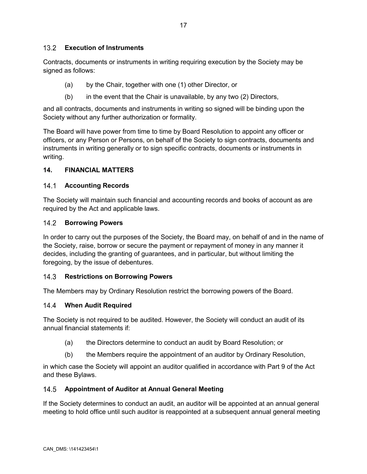## **Execution of Instruments**

Contracts, documents or instruments in writing requiring execution by the Society may be signed as follows:

- (a) by the Chair, together with one (1) other Director, or
- $(b)$  in the event that the Chair is unavailable, by any two  $(2)$  Directors,

and all contracts, documents and instruments in writing so signed will be binding upon the Society without any further authorization or formality.

The Board will have power from time to time by Board Resolution to appoint any officer or officers, or any Person or Persons, on behalf of the Society to sign contracts, documents and instruments in writing generally or to sign specific contracts, documents or instruments in writing.

## **14. FINANCIAL MATTERS**

## **Accounting Records**

The Society will maintain such financial and accounting records and books of account as are required by the Act and applicable laws.

## 14.2 **Borrowing Powers**

In order to carry out the purposes of the Society, the Board may, on behalf of and in the name of the Society, raise, borrow or secure the payment or repayment of money in any manner it decides, including the granting of guarantees, and in particular, but without limiting the foregoing, by the issue of debentures.

## $14.3$ **Restrictions on Borrowing Powers**

The Members may by Ordinary Resolution restrict the borrowing powers of the Board.

## **When Audit Required**

The Society is not required to be audited. However, the Society will conduct an audit of its annual financial statements if:

- (a) the Directors determine to conduct an audit by Board Resolution; or
- (b) the Members require the appointment of an auditor by Ordinary Resolution,

in which case the Society will appoint an auditor qualified in accordance with Part 9 of the Act and these Bylaws.

## $14.5$ **Appointment of Auditor at Annual General Meeting**

If the Society determines to conduct an audit, an auditor will be appointed at an annual general meeting to hold office until such auditor is reappointed at a subsequent annual general meeting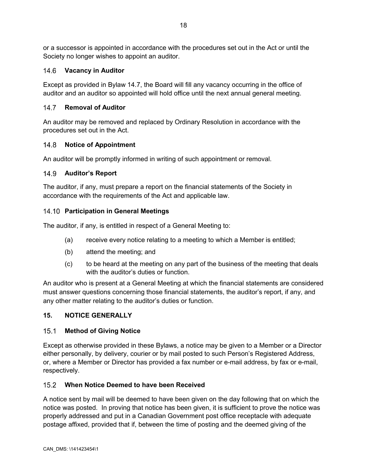or a successor is appointed in accordance with the procedures set out in the Act or until the Society no longer wishes to appoint an auditor.

## **Vacancy in Auditor**

Except as provided in Bylaw [14.7](#page-21-1), the Board will fill any vacancy occurring in the office of auditor and an auditor so appointed will hold office until the next annual general meeting.

## <span id="page-21-1"></span> $14.7$ **Removal of Auditor**

An auditor may be removed and replaced by Ordinary Resolution in accordance with the procedures set out in the Act.

## $14.8$ **Notice of Appointment**

An auditor will be promptly informed in writing of such appointment or removal.

## **Auditor's Report**

The auditor, if any, must prepare a report on the financial statements of the Society in accordance with the requirements of the Act and applicable law.

## **Participation in General Meetings**

The auditor, if any, is entitled in respect of a General Meeting to:

- (a) receive every notice relating to a meeting to which a Member is entitled;
- (b) attend the meeting; and
- (c) to be heard at the meeting on any part of the business of the meeting that deals with the auditor's duties or function.

An auditor who is present at a General Meeting at which the financial statements are considered must answer questions concerning those financial statements, the auditor's report, if any, and any other matter relating to the auditor's duties or function.

## **15. NOTICE GENERALLY**

## <span id="page-21-0"></span> $15.1$ **Method of Giving Notice**

Except as otherwise provided in these Bylaws, a notice may be given to a Member or a Director either personally, by delivery, courier or by mail posted to such Person's Registered Address, or, where a Member or Director has provided a fax number or e-mail address, by fax or e-mail, respectively.

## **When Notice Deemed to have been Received**

A notice sent by mail will be deemed to have been given on the day following that on which the notice was posted. In proving that notice has been given, it is sufficient to prove the notice was properly addressed and put in a Canadian Government post office receptacle with adequate postage affixed, provided that if, between the time of posting and the deemed giving of the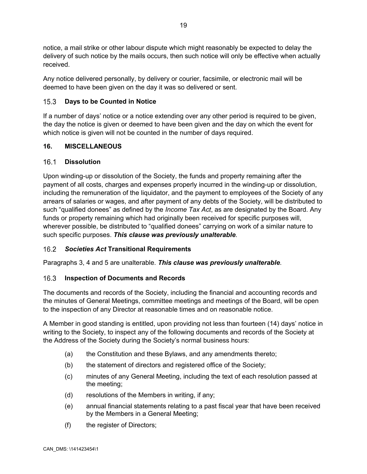notice, a mail strike or other labour dispute which might reasonably be expected to delay the delivery of such notice by the mails occurs, then such notice will only be effective when actually received.

Any notice delivered personally, by delivery or courier, facsimile, or electronic mail will be deemed to have been given on the day it was so delivered or sent.

## $15.3$ **Days to be Counted in Notice**

If a number of days' notice or a notice extending over any other period is required to be given, the day the notice is given or deemed to have been given and the day on which the event for which notice is given will not be counted in the number of days required.

## **16. MISCELLANEOUS**

## $16.1$ **Dissolution**

Upon winding-up or dissolution of the Society, the funds and property remaining after the payment of all costs, charges and expenses properly incurred in the winding-up or dissolution, including the remuneration of the liquidator, and the payment to employees of the Society of any arrears of salaries or wages, and after payment of any debts of the Society, will be distributed to such "qualified donees" as defined by the *Income Tax Act*, as are designated by the Board. Any funds or property remaining which had originally been received for specific purposes will, wherever possible, be distributed to "qualified donees" carrying on work of a similar nature to such specific purposes. *This clause was previously unalterable*.

# *Societies Act* **Transitional Requirements**

Paragraphs 3, 4 and 5 are unalterable. *This clause was previously unalterable*.

## $16.3$ **Inspection of Documents and Records**

The documents and records of the Society, including the financial and accounting records and the minutes of General Meetings, committee meetings and meetings of the Board, will be open to the inspection of any Director at reasonable times and on reasonable notice.

A Member in good standing is entitled, upon providing not less than fourteen (14) days' notice in writing to the Society, to inspect any of the following documents and records of the Society at the Address of the Society during the Society's normal business hours:

- (a) the Constitution and these Bylaws, and any amendments thereto;
- (b) the statement of directors and registered office of the Society;
- (c) minutes of any General Meeting, including the text of each resolution passed at the meeting;
- (d) resolutions of the Members in writing, if any;
- (e) annual financial statements relating to a past fiscal year that have been received by the Members in a General Meeting;
- (f) the register of Directors;